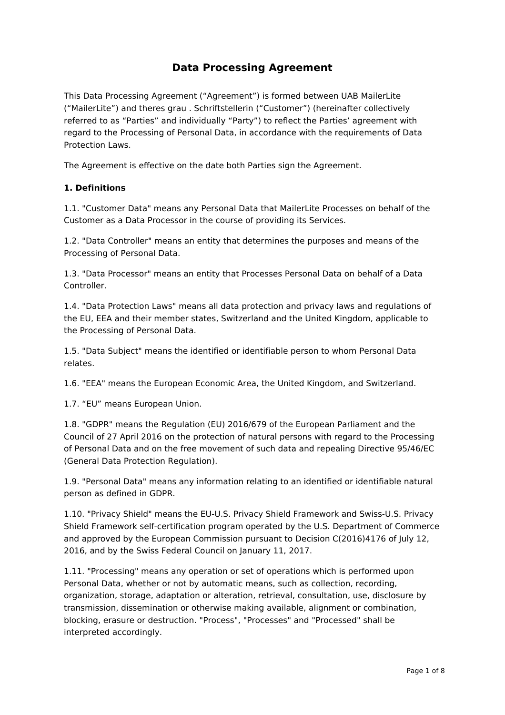# **Data Processing Agreement**

This Data Processing Agreement ("Agreement") is formed between UAB MailerLite ("MailerLite") and theres grau . Schriftstellerin ("Customer") (hereinafter collectively referred to as "Parties" and individually "Party") to reflect the Parties' agreement with regard to the Processing of Personal Data, in accordance with the requirements of Data Protection Laws.

The Agreement is effective on the date both Parties sign the Agreement.

#### **1. Definitions**

1.1. "Customer Data" means any Personal Data that MailerLite Processes on behalf of the Customer as a Data Processor in the course of providing its Services.

1.2. "Data Controller" means an entity that determines the purposes and means of the Processing of Personal Data.

1.3. "Data Processor" means an entity that Processes Personal Data on behalf of a Data Controller.

1.4. "Data Protection Laws" means all data protection and privacy laws and regulations of the EU, EEA and their member states, Switzerland and the United Kingdom, applicable to the Processing of Personal Data.

1.5. "Data Subject" means the identified or identifiable person to whom Personal Data relates.

1.6. "EEA" means the European Economic Area, the United Kingdom, and Switzerland.

1.7. "EU" means European Union.

1.8. "GDPR" means the Regulation (EU) 2016/679 of the European Parliament and the Council of 27 April 2016 on the protection of natural persons with regard to the Processing of Personal Data and on the free movement of such data and repealing Directive 95/46/EC (General Data Protection Regulation).

1.9. "Personal Data" means any information relating to an identified or identifiable natural person as defined in GDPR.

1.10. "Privacy Shield" means the EU-U.S. Privacy Shield Framework and Swiss-U.S. Privacy Shield Framework self-certification program operated by the U.S. Department of Commerce and approved by the European Commission pursuant to Decision C(2016)4176 of July 12, 2016, and by the Swiss Federal Council on January 11, 2017.

1.11. "Processing" means any operation or set of operations which is performed upon Personal Data, whether or not by automatic means, such as collection, recording, organization, storage, adaptation or alteration, retrieval, consultation, use, disclosure by transmission, dissemination or otherwise making available, alignment or combination, blocking, erasure or destruction. "Process", "Processes" and "Processed" shall be interpreted accordingly.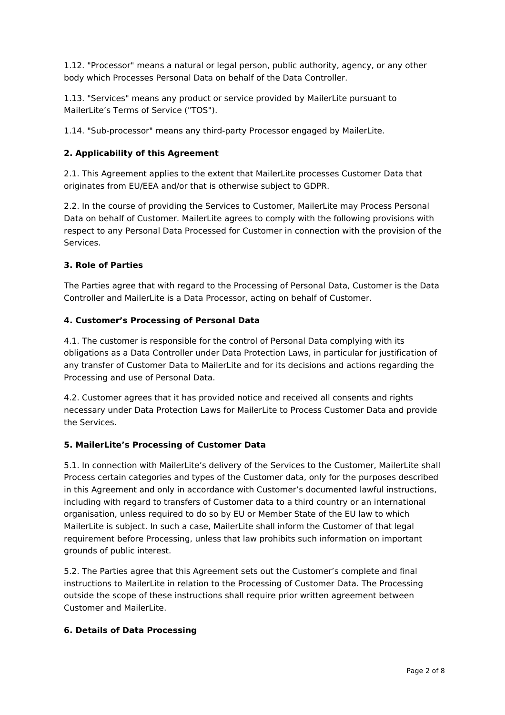1.12. "Processor" means a natural or legal person, public authority, agency, or any other body which Processes Personal Data on behalf of the Data Controller.

1.13. "Services" means any product or service provided by MailerLite pursuant to MailerLite's Terms of Service ("TOS").

1.14. "Sub-processor" means any third-party Processor engaged by MailerLite.

### **2. Applicability of this Agreement**

2.1. This Agreement applies to the extent that MailerLite processes Customer Data that originates from EU/EEA and/or that is otherwise subject to GDPR.

2.2. In the course of providing the Services to Customer, MailerLite may Process Personal Data on behalf of Customer. MailerLite agrees to comply with the following provisions with respect to any Personal Data Processed for Customer in connection with the provision of the Services.

#### **3. Role of Parties**

The Parties agree that with regard to the Processing of Personal Data, Customer is the Data Controller and MailerLite is a Data Processor, acting on behalf of Customer.

#### **4. Customer's Processing of Personal Data**

4.1. The customer is responsible for the control of Personal Data complying with its obligations as a Data Controller under Data Protection Laws, in particular for justification of any transfer of Customer Data to MailerLite and for its decisions and actions regarding the Processing and use of Personal Data.

4.2. Customer agrees that it has provided notice and received all consents and rights necessary under Data Protection Laws for MailerLite to Process Customer Data and provide the Services.

#### **5. MailerLite's Processing of Customer Data**

5.1. In connection with MailerLite's delivery of the Services to the Customer, MailerLite shall Process certain categories and types of the Customer data, only for the purposes described in this Agreement and only in accordance with Customer's documented lawful instructions, including with regard to transfers of Customer data to a third country or an international organisation, unless required to do so by EU or Member State of the EU law to which MailerLite is subject. In such a case, MailerLite shall inform the Customer of that legal requirement before Processing, unless that law prohibits such information on important grounds of public interest.

5.2. The Parties agree that this Agreement sets out the Customer's complete and final instructions to MailerLite in relation to the Processing of Customer Data. The Processing outside the scope of these instructions shall require prior written agreement between Customer and MailerLite.

#### **6. Details of Data Processing**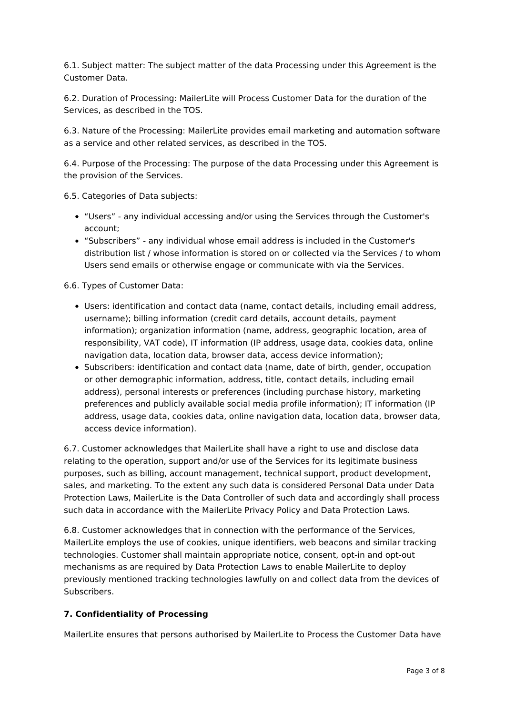6.1. Subject matter: The subject matter of the data Processing under this Agreement is the Customer Data.

6.2. Duration of Processing: MailerLite will Process Customer Data for the duration of the Services, as described in the TOS.

6.3. Nature of the Processing: MailerLite provides email marketing and automation software as a service and other related services, as described in the TOS.

6.4. Purpose of the Processing: The purpose of the data Processing under this Agreement is the provision of the Services.

6.5. Categories of Data subjects:

- "Users" any individual accessing and/or using the Services through the Customer's account;
- "Subscribers" any individual whose email address is included in the Customer's distribution list / whose information is stored on or collected via the Services / to whom Users send emails or otherwise engage or communicate with via the Services.

6.6. Types of Customer Data:

- Users: identification and contact data (name, contact details, including email address, username); billing information (credit card details, account details, payment information); organization information (name, address, geographic location, area of responsibility, VAT code), IT information (IP address, usage data, cookies data, online navigation data, location data, browser data, access device information);
- Subscribers: identification and contact data (name, date of birth, gender, occupation or other demographic information, address, title, contact details, including email address), personal interests or preferences (including purchase history, marketing preferences and publicly available social media profile information); IT information (IP address, usage data, cookies data, online navigation data, location data, browser data, access device information).

6.7. Customer acknowledges that MailerLite shall have a right to use and disclose data relating to the operation, support and/or use of the Services for its legitimate business purposes, such as billing, account management, technical support, product development, sales, and marketing. To the extent any such data is considered Personal Data under Data Protection Laws, MailerLite is the Data Controller of such data and accordingly shall process such data in accordance with the MailerLite Privacy Policy and Data Protection Laws.

6.8. Customer acknowledges that in connection with the performance of the Services, MailerLite employs the use of cookies, unique identifiers, web beacons and similar tracking technologies. Customer shall maintain appropriate notice, consent, opt-in and opt-out mechanisms as are required by Data Protection Laws to enable MailerLite to deploy previously mentioned tracking technologies lawfully on and collect data from the devices of Subscribers.

#### **7. Confidentiality of Processing**

MailerLite ensures that persons authorised by MailerLite to Process the Customer Data have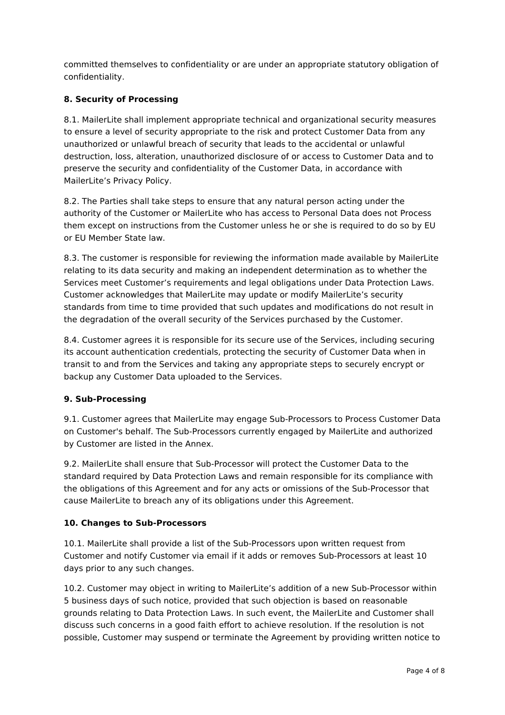committed themselves to confidentiality or are under an appropriate statutory obligation of confidentiality.

## **8. Security of Processing**

8.1. MailerLite shall implement appropriate technical and organizational security measures to ensure a level of security appropriate to the risk and protect Customer Data from any unauthorized or unlawful breach of security that leads to the accidental or unlawful destruction, loss, alteration, unauthorized disclosure of or access to Customer Data and to preserve the security and confidentiality of the Customer Data, in accordance with MailerLite's Privacy Policy.

8.2. The Parties shall take steps to ensure that any natural person acting under the authority of the Customer or MailerLite who has access to Personal Data does not Process them except on instructions from the Customer unless he or she is required to do so by EU or EU Member State law.

8.3. The customer is responsible for reviewing the information made available by MailerLite relating to its data security and making an independent determination as to whether the Services meet Customer's requirements and legal obligations under Data Protection Laws. Customer acknowledges that MailerLite may update or modify MailerLite's security standards from time to time provided that such updates and modifications do not result in the degradation of the overall security of the Services purchased by the Customer.

8.4. Customer agrees it is responsible for its secure use of the Services, including securing its account authentication credentials, protecting the security of Customer Data when in transit to and from the Services and taking any appropriate steps to securely encrypt or backup any Customer Data uploaded to the Services.

## **9. Sub-Processing**

9.1. Customer agrees that MailerLite may engage Sub-Processors to Process Customer Data on Customer's behalf. The Sub-Processors currently engaged by MailerLite and authorized by Customer are listed in the Annex.

9.2. MailerLite shall ensure that Sub-Processor will protect the Customer Data to the standard required by Data Protection Laws and remain responsible for its compliance with the obligations of this Agreement and for any acts or omissions of the Sub-Processor that cause MailerLite to breach any of its obligations under this Agreement.

## **10. Changes to Sub-Processors**

10.1. MailerLite shall provide a list of the Sub-Processors upon written request from Customer and notify Customer via email if it adds or removes Sub-Processors at least 10 days prior to any such changes.

10.2. Customer may object in writing to MailerLite's addition of a new Sub-Processor within 5 business days of such notice, provided that such objection is based on reasonable grounds relating to Data Protection Laws. In such event, the MailerLite and Customer shall discuss such concerns in a good faith effort to achieve resolution. If the resolution is not possible, Customer may suspend or terminate the Agreement by providing written notice to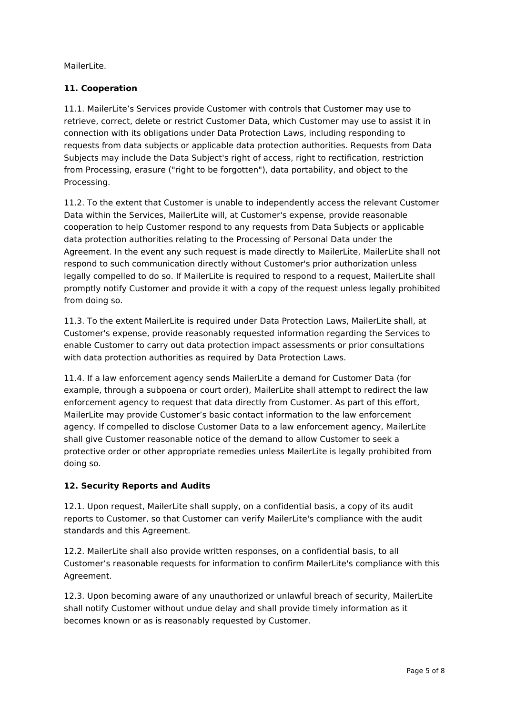MailerLite.

## **11. Cooperation**

11.1. MailerLite's Services provide Customer with controls that Customer may use to retrieve, correct, delete or restrict Customer Data, which Customer may use to assist it in connection with its obligations under Data Protection Laws, including responding to requests from data subjects or applicable data protection authorities. Requests from Data Subjects may include the Data Subject's right of access, right to rectification, restriction from Processing, erasure ("right to be forgotten"), data portability, and object to the Processing.

11.2. To the extent that Customer is unable to independently access the relevant Customer Data within the Services, MailerLite will, at Customer's expense, provide reasonable cooperation to help Customer respond to any requests from Data Subjects or applicable data protection authorities relating to the Processing of Personal Data under the Agreement. In the event any such request is made directly to MailerLite, MailerLite shall not respond to such communication directly without Customer's prior authorization unless legally compelled to do so. If MailerLite is required to respond to a request, MailerLite shall promptly notify Customer and provide it with a copy of the request unless legally prohibited from doing so.

11.3. To the extent MailerLite is required under Data Protection Laws, MailerLite shall, at Customer's expense, provide reasonably requested information regarding the Services to enable Customer to carry out data protection impact assessments or prior consultations with data protection authorities as required by Data Protection Laws.

11.4. If a law enforcement agency sends MailerLite a demand for Customer Data (for example, through a subpoena or court order), MailerLite shall attempt to redirect the law enforcement agency to request that data directly from Customer. As part of this effort, MailerLite may provide Customer's basic contact information to the law enforcement agency. If compelled to disclose Customer Data to a law enforcement agency, MailerLite shall give Customer reasonable notice of the demand to allow Customer to seek a protective order or other appropriate remedies unless MailerLite is legally prohibited from doing so.

## **12. Security Reports and Audits**

12.1. Upon request, MailerLite shall supply, on a confidential basis, a copy of its audit reports to Customer, so that Customer can verify MailerLite's compliance with the audit standards and this Agreement.

12.2. MailerLite shall also provide written responses, on a confidential basis, to all Customer's reasonable requests for information to confirm MailerLite's compliance with this Agreement.

12.3. Upon becoming aware of any unauthorized or unlawful breach of security, MailerLite shall notify Customer without undue delay and shall provide timely information as it becomes known or as is reasonably requested by Customer.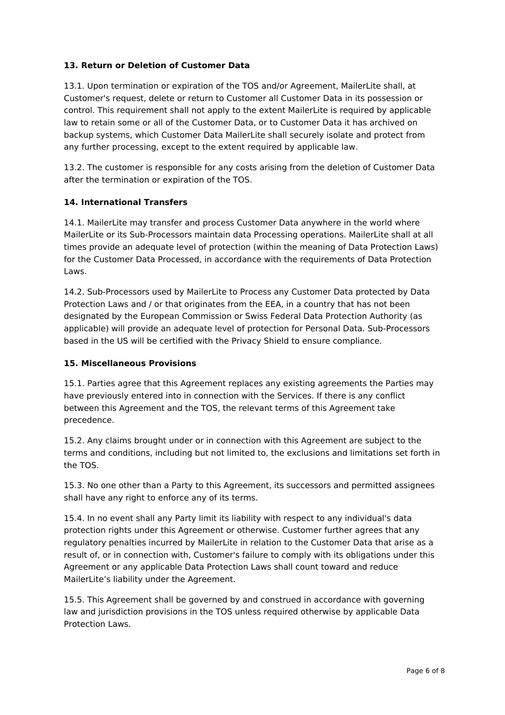## **13. Return or Deletion of Customer Data**

13.1. Upon termination or expiration of the TOS and/or Agreement, MailerLite shall, at Customer's request, delete or return to Customer all Customer Data in its possession or control. This requirement shall not apply to the extent MailerLite is required by applicable law to retain some or all of the Customer Data, or to Customer Data it has archived on backup systems, which Customer Data MailerLite shall securely isolate and protect from any further processing, except to the extent required by applicable law.

13.2. The customer is responsible for any costs arising from the deletion of Customer Data after the termination or expiration of the TOS.

#### **14. International Transfers**

14.1. MailerLite may transfer and process Customer Data anywhere in the world where MailerLite or its Sub-Processors maintain data Processing operations. MailerLite shall at all times provide an adequate level of protection (within the meaning of Data Protection Laws) for the Customer Data Processed, in accordance with the requirements of Data Protection Laws.

14.2. Sub-Processors used by MailerLite to Process any Customer Data protected by Data Protection Laws and / or that originates from the EEA, in a country that has not been designated by the European Commission or Swiss Federal Data Protection Authority (as applicable) will provide an adequate level of protection for Personal Data. Sub-Processors based in the US will be certified with the Privacy Shield to ensure compliance.

#### **15. Miscellaneous Provisions**

15.1. Parties agree that this Agreement replaces any existing agreements the Parties may have previously entered into in connection with the Services. If there is any conflict between this Agreement and the TOS, the relevant terms of this Agreement take precedence.

15.2. Any claims brought under or in connection with this Agreement are subject to the terms and conditions, including but not limited to, the exclusions and limitations set forth in the TOS.

15.3. No one other than a Party to this Agreement, its successors and permitted assignees shall have any right to enforce any of its terms.

15.4. In no event shall any Party limit its liability with respect to any individual's data protection rights under this Agreement or otherwise. Customer further agrees that any regulatory penalties incurred by MailerLite in relation to the Customer Data that arise as a result of, or in connection with, Customer's failure to comply with its obligations under this Agreement or any applicable Data Protection Laws shall count toward and reduce MailerLite's liability under the Agreement.

15.5. This Agreement shall be governed by and construed in accordance with governing law and jurisdiction provisions in the TOS unless required otherwise by applicable Data Protection Laws.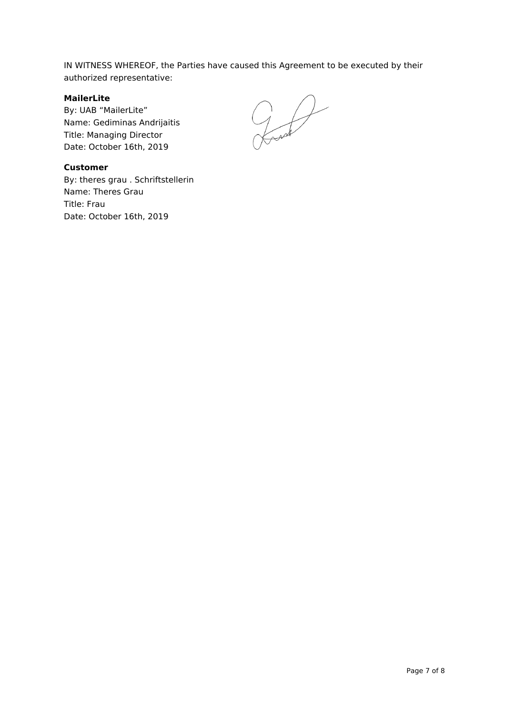IN WITNESS WHEREOF, the Parties have caused this Agreement to be executed by their authorized representative:

## **MailerLite**

By: UAB "MailerLite" Name: Gediminas Andrijaitis Title: Managing Director Date: October 16th, 2019

 $200$ 

#### **Customer**

By: theres grau . Schriftstellerin Name: Theres Grau Title: Frau Date: October 16th, 2019